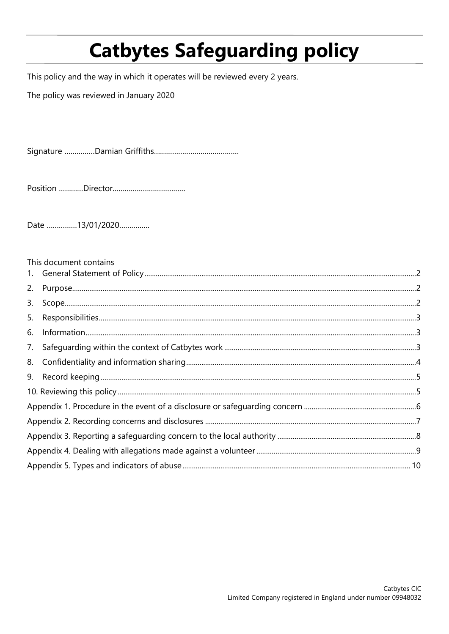# **Catbytes Safeguarding policy**

This policy and the way in which it operates will be reviewed every 2 years.

The policy was reviewed in January 2020

Date ...............13/01/2020...............

|    | This document contains |  |
|----|------------------------|--|
|    |                        |  |
|    |                        |  |
| 3. |                        |  |
| 5. |                        |  |
| 6. |                        |  |
|    |                        |  |
|    |                        |  |
|    |                        |  |
|    |                        |  |
|    |                        |  |
|    |                        |  |
|    |                        |  |
|    |                        |  |
|    |                        |  |
|    |                        |  |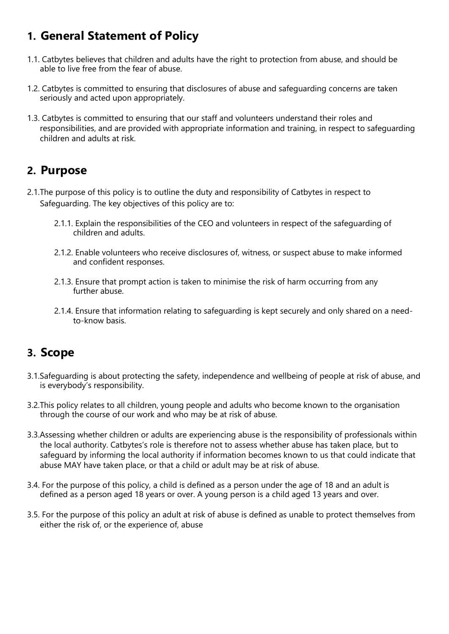# **1. General Statement of Policy**

- 1.1. Catbytes believes that children and adults have the right to protection from abuse, and should be able to live free from the fear of abuse.
- 1.2. Catbytes is committed to ensuring that disclosures of abuse and safeguarding concerns are taken seriously and acted upon appropriately.
- 1.3. Catbytes is committed to ensuring that our staff and volunteers understand their roles and responsibilities, and are provided with appropriate information and training, in respect to safeguarding children and adults at risk.

### **2. Purpose**

- 2.1.The purpose of this policy is to outline the duty and responsibility of Catbytes in respect to Safeguarding. The key objectives of this policy are to:
	- 2.1.1. Explain the responsibilities of the CEO and volunteers in respect of the safeguarding of children and adults.
	- 2.1.2. Enable volunteers who receive disclosures of, witness, or suspect abuse to make informed and confident responses.
	- 2.1.3. Ensure that prompt action is taken to minimise the risk of harm occurring from any further abuse.
	- 2.1.4. Ensure that information relating to safeguarding is kept securely and only shared on a needto-know basis.

### **3. Scope**

- 3.1.Safeguarding is about protecting the safety, independence and wellbeing of people at risk of abuse, and is everybody's responsibility.
- 3.2.This policy relates to all children, young people and adults who become known to the organisation through the course of our work and who may be at risk of abuse.
- 3.3.Assessing whether children or adults are experiencing abuse is the responsibility of professionals within the local authority. Catbytes's role is therefore not to assess whether abuse has taken place, but to safeguard by informing the local authority if information becomes known to us that could indicate that abuse MAY have taken place, or that a child or adult may be at risk of abuse.
- 3.4. For the purpose of this policy, a child is defined as a person under the age of 18 and an adult is defined as a person aged 18 years or over. A young person is a child aged 13 years and over.
- 3.5. For the purpose of this policy an adult at risk of abuse is defined as unable to protect themselves from either the risk of, or the experience of, abuse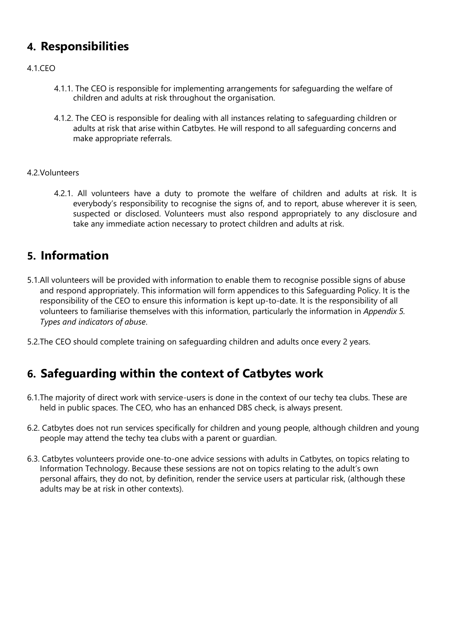## **4. Responsibilities**

### 4.1.CEO

- 4.1.1. The CEO is responsible for implementing arrangements for safeguarding the welfare of children and adults at risk throughout the organisation.
- 4.1.2. The CEO is responsible for dealing with all instances relating to safeguarding children or adults at risk that arise within Catbytes. He will respond to all safeguarding concerns and make appropriate referrals.

### 4.2.Volunteers

4.2.1. All volunteers have a duty to promote the welfare of children and adults at risk. It is everybody's responsibility to recognise the signs of, and to report, abuse wherever it is seen, suspected or disclosed. Volunteers must also respond appropriately to any disclosure and take any immediate action necessary to protect children and adults at risk.

### **5. Information**

- 5.1.All volunteers will be provided with information to enable them to recognise possible signs of abuse and respond appropriately. This information will form appendices to this Safeguarding Policy. It is the responsibility of the CEO to ensure this information is kept up-to-date. It is the responsibility of all volunteers to familiarise themselves with this information, particularly the information in *Appendix 5. Types and indicators of abuse*.
- 5.2.The CEO should complete training on safeguarding children and adults once every 2 years.

### **6. Safeguarding within the context of Catbytes work**

- 6.1.The majority of direct work with service-users is done in the context of our techy tea clubs. These are held in public spaces. The CEO, who has an enhanced DBS check, is always present.
- 6.2. Catbytes does not run services specifically for children and young people, although children and young people may attend the techy tea clubs with a parent or guardian.
- 6.3. Catbytes volunteers provide one-to-one advice sessions with adults in Catbytes, on topics relating to Information Technology. Because these sessions are not on topics relating to the adult's own personal affairs, they do not, by definition, render the service users at particular risk, (although these adults may be at risk in other contexts).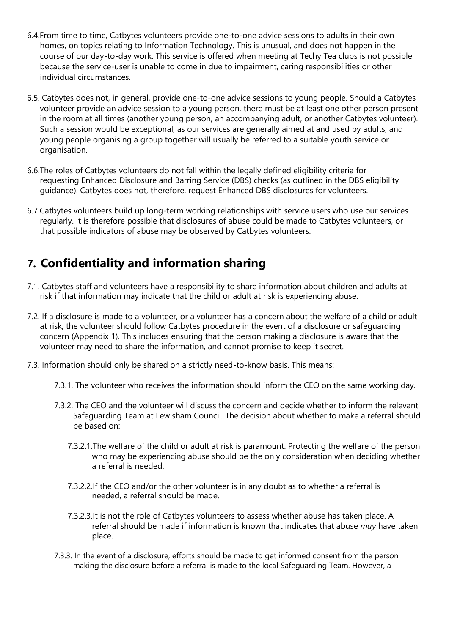- 6.4.From time to time, Catbytes volunteers provide one-to-one advice sessions to adults in their own homes, on topics relating to Information Technology. This is unusual, and does not happen in the course of our day-to-day work. This service is offered when meeting at Techy Tea clubs is not possible because the service-user is unable to come in due to impairment, caring responsibilities or other individual circumstances.
- 6.5. Catbytes does not, in general, provide one-to-one advice sessions to young people. Should a Catbytes volunteer provide an advice session to a young person, there must be at least one other person present in the room at all times (another young person, an accompanying adult, or another Catbytes volunteer). Such a session would be exceptional, as our services are generally aimed at and used by adults, and young people organising a group together will usually be referred to a suitable youth service or organisation.
- 6.6.The roles of Catbytes volunteers do not fall within the legally defined eligibility criteria for requesting Enhanced Disclosure and Barring Service (DBS) checks (as outlined in the DBS eligibility guidance). Catbytes does not, therefore, request Enhanced DBS disclosures for volunteers.
- 6.7.Catbytes volunteers build up long-term working relationships with service users who use our services regularly. It is therefore possible that disclosures of abuse could be made to Catbytes volunteers, or that possible indicators of abuse may be observed by Catbytes volunteers.

# **7. Confidentiality and information sharing**

- 7.1. Catbytes staff and volunteers have a responsibility to share information about children and adults at risk if that information may indicate that the child or adult at risk is experiencing abuse.
- 7.2. If a disclosure is made to a volunteer, or a volunteer has a concern about the welfare of a child or adult at risk, the volunteer should follow Catbytes procedure in the event of a disclosure or safeguarding concern (Appendix 1). This includes ensuring that the person making a disclosure is aware that the volunteer may need to share the information, and cannot promise to keep it secret.
- 7.3. Information should only be shared on a strictly need-to-know basis. This means:
	- 7.3.1. The volunteer who receives the information should inform the CEO on the same working day.
	- 7.3.2. The CEO and the volunteer will discuss the concern and decide whether to inform the relevant Safeguarding Team at Lewisham Council. The decision about whether to make a referral should be based on:
		- 7.3.2.1.The welfare of the child or adult at risk is paramount. Protecting the welfare of the person who may be experiencing abuse should be the only consideration when deciding whether a referral is needed.
		- 7.3.2.2.If the CEO and/or the other volunteer is in any doubt as to whether a referral is needed, a referral should be made.
		- 7.3.2.3.It is not the role of Catbytes volunteers to assess whether abuse has taken place. A referral should be made if information is known that indicates that abuse *may* have taken place.
	- 7.3.3. In the event of a disclosure, efforts should be made to get informed consent from the person making the disclosure before a referral is made to the local Safeguarding Team. However, a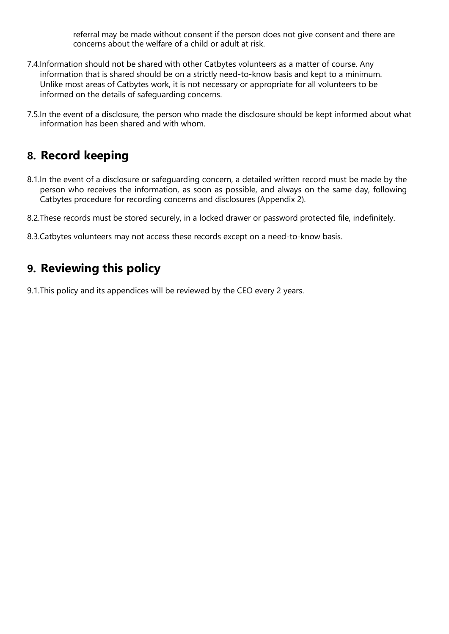referral may be made without consent if the person does not give consent and there are concerns about the welfare of a child or adult at risk.

- 7.4.Information should not be shared with other Catbytes volunteers as a matter of course. Any information that is shared should be on a strictly need-to-know basis and kept to a minimum. Unlike most areas of Catbytes work, it is not necessary or appropriate for all volunteers to be informed on the details of safeguarding concerns.
- 7.5.In the event of a disclosure, the person who made the disclosure should be kept informed about what information has been shared and with whom.

### **8. Record keeping**

- 8.1.In the event of a disclosure or safeguarding concern, a detailed written record must be made by the person who receives the information, as soon as possible, and always on the same day, following Catbytes procedure for recording concerns and disclosures (Appendix 2).
- 8.2.These records must be stored securely, in a locked drawer or password protected file, indefinitely.
- 8.3.Catbytes volunteers may not access these records except on a need-to-know basis.

### **9. Reviewing this policy**

9.1.This policy and its appendices will be reviewed by the CEO every 2 years.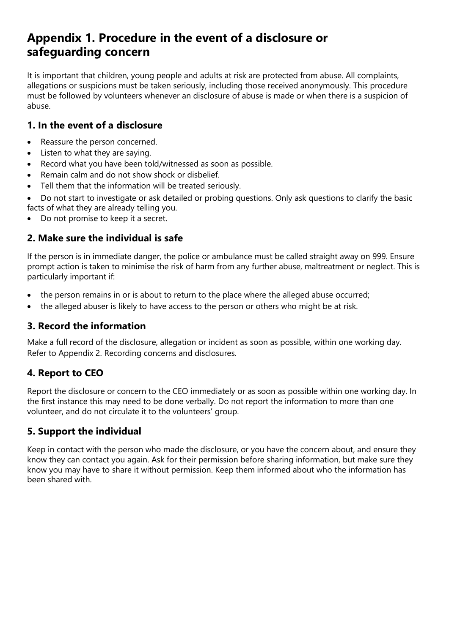## **Appendix 1. Procedure in the event of a disclosure or safeguarding concern**

It is important that children, young people and adults at risk are protected from abuse. All complaints, allegations or suspicions must be taken seriously, including those received anonymously. This procedure must be followed by volunteers whenever an disclosure of abuse is made or when there is a suspicion of abuse.

### **1. In the event of a disclosure**

- Reassure the person concerned.
- Listen to what they are saying.
- Record what you have been told/witnessed as soon as possible.
- Remain calm and do not show shock or disbelief.
- Tell them that the information will be treated seriously.

• Do not start to investigate or ask detailed or probing questions. Only ask questions to clarify the basic facts of what they are already telling you.

Do not promise to keep it a secret.

### **2. Make sure the individual is safe**

If the person is in immediate danger, the police or ambulance must be called straight away on 999. Ensure prompt action is taken to minimise the risk of harm from any further abuse, maltreatment or neglect. This is particularly important if:

- the person remains in or is about to return to the place where the alleged abuse occurred;
- the alleged abuser is likely to have access to the person or others who might be at risk.

### **3. Record the information**

Make a full record of the disclosure, allegation or incident as soon as possible, within one working day. Refer to Appendix 2. Recording concerns and disclosures.

### **4. Report to CEO**

Report the disclosure or concern to the CEO immediately or as soon as possible within one working day. In the first instance this may need to be done verbally. Do not report the information to more than one volunteer, and do not circulate it to the volunteers' group.

### **5. Support the individual**

Keep in contact with the person who made the disclosure, or you have the concern about, and ensure they know they can contact you again. Ask for their permission before sharing information, but make sure they know you may have to share it without permission. Keep them informed about who the information has been shared with.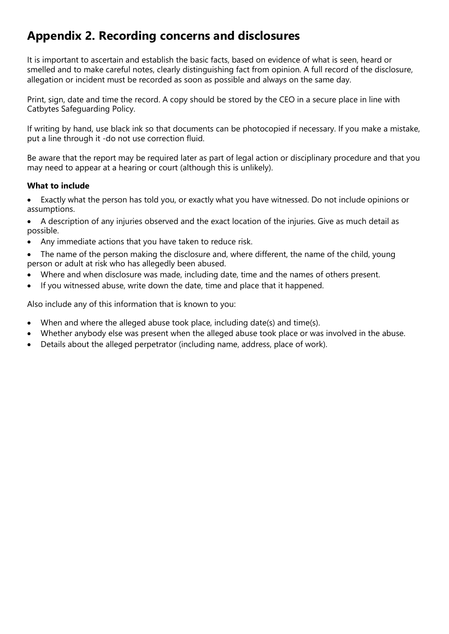# **Appendix 2. Recording concerns and disclosures**

It is important to ascertain and establish the basic facts, based on evidence of what is seen, heard or smelled and to make careful notes, clearly distinguishing fact from opinion. A full record of the disclosure, allegation or incident must be recorded as soon as possible and always on the same day.

Print, sign, date and time the record. A copy should be stored by the CEO in a secure place in line with Catbytes Safeguarding Policy.

If writing by hand, use black ink so that documents can be photocopied if necessary. If you make a mistake, put a line through it -do not use correction fluid.

Be aware that the report may be required later as part of legal action or disciplinary procedure and that you may need to appear at a hearing or court (although this is unlikely).

### **What to include**

• Exactly what the person has told you, or exactly what you have witnessed. Do not include opinions or assumptions.

• A description of any injuries observed and the exact location of the injuries. Give as much detail as possible.

- Any immediate actions that you have taken to reduce risk.
- The name of the person making the disclosure and, where different, the name of the child, young person or adult at risk who has allegedly been abused.
- Where and when disclosure was made, including date, time and the names of others present.
- If you witnessed abuse, write down the date, time and place that it happened.

Also include any of this information that is known to you:

- When and where the alleged abuse took place, including date(s) and time(s).
- Whether anybody else was present when the alleged abuse took place or was involved in the abuse.
- Details about the alleged perpetrator (including name, address, place of work).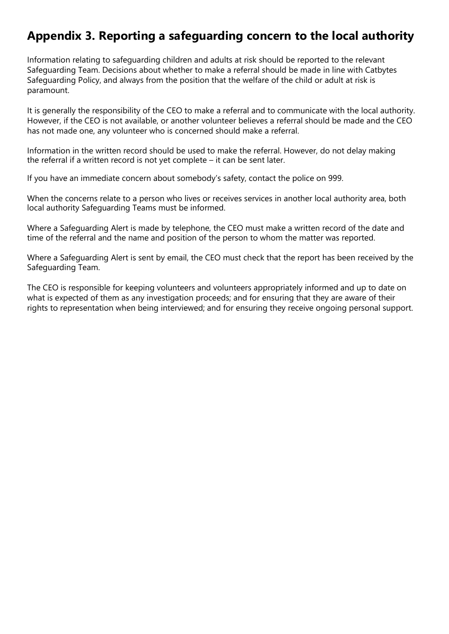# **Appendix 3. Reporting a safeguarding concern to the local authority**

Information relating to safeguarding children and adults at risk should be reported to the relevant Safeguarding Team. Decisions about whether to make a referral should be made in line with Catbytes Safeguarding Policy, and always from the position that the welfare of the child or adult at risk is paramount.

It is generally the responsibility of the CEO to make a referral and to communicate with the local authority. However, if the CEO is not available, or another volunteer believes a referral should be made and the CEO has not made one, any volunteer who is concerned should make a referral.

Information in the written record should be used to make the referral. However, do not delay making the referral if a written record is not yet complete – it can be sent later.

If you have an immediate concern about somebody's safety, contact the police on 999.

When the concerns relate to a person who lives or receives services in another local authority area, both local authority Safeguarding Teams must be informed.

Where a Safeguarding Alert is made by telephone, the CEO must make a written record of the date and time of the referral and the name and position of the person to whom the matter was reported.

Where a Safeguarding Alert is sent by email, the CEO must check that the report has been received by the Safeguarding Team.

The CEO is responsible for keeping volunteers and volunteers appropriately informed and up to date on what is expected of them as any investigation proceeds; and for ensuring that they are aware of their rights to representation when being interviewed; and for ensuring they receive ongoing personal support.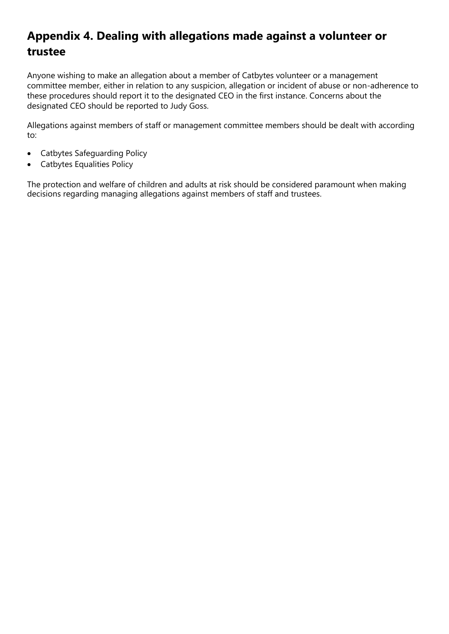# **Appendix 4. Dealing with allegations made against a volunteer or trustee**

Anyone wishing to make an allegation about a member of Catbytes volunteer or a management committee member, either in relation to any suspicion, allegation or incident of abuse or non-adherence to these procedures should report it to the designated CEO in the first instance. Concerns about the designated CEO should be reported to Judy Goss.

Allegations against members of staff or management committee members should be dealt with according to:

- Catbytes Safeguarding Policy
- Catbytes Equalities Policy

The protection and welfare of children and adults at risk should be considered paramount when making decisions regarding managing allegations against members of staff and trustees.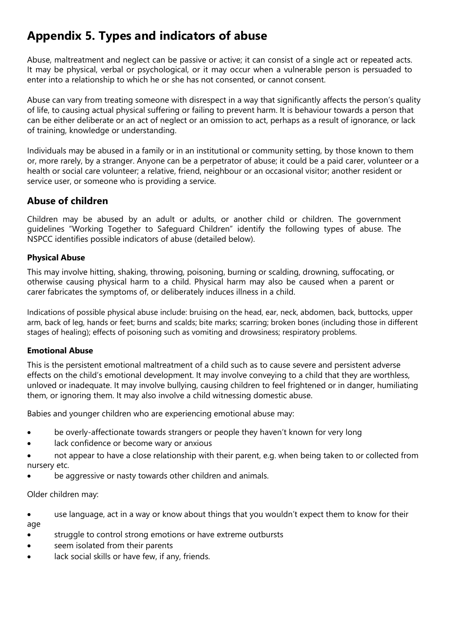# **Appendix 5. Types and indicators of abuse**

Abuse, maltreatment and neglect can be passive or active; it can consist of a single act or repeated acts. It may be physical, verbal or psychological, or it may occur when a vulnerable person is persuaded to enter into a relationship to which he or she has not consented, or cannot consent.

Abuse can vary from treating someone with disrespect in a way that significantly affects the person's quality of life, to causing actual physical suffering or failing to prevent harm. It is behaviour towards a person that can be either deliberate or an act of neglect or an omission to act, perhaps as a result of ignorance, or lack of training, knowledge or understanding.

Individuals may be abused in a family or in an institutional or community setting, by those known to them or, more rarely, by a stranger. Anyone can be a perpetrator of abuse; it could be a paid carer, volunteer or a health or social care volunteer; a relative, friend, neighbour or an occasional visitor; another resident or service user, or someone who is providing a service.

### **Abuse of children**

Children may be abused by an adult or adults, or another child or children. The government guidelines "Working Together to Safeguard Children" identify the following types of abuse. The NSPCC identifies possible indicators of abuse (detailed below).

### **Physical Abuse**

This may involve hitting, shaking, throwing, poisoning, burning or scalding, drowning, suffocating, or otherwise causing physical harm to a child. Physical harm may also be caused when a parent or carer fabricates the symptoms of, or deliberately induces illness in a child.

Indications of possible physical abuse include: bruising on the head, ear, neck, abdomen, back, buttocks, upper arm, back of leg, hands or feet; burns and scalds; bite marks; scarring; broken bones (including those in different stages of healing); effects of poisoning such as vomiting and drowsiness; respiratory problems.

### **Emotional Abuse**

This is the persistent emotional maltreatment of a child such as to cause severe and persistent adverse effects on the child's emotional development. It may involve conveying to a child that they are worthless, unloved or inadequate. It may involve bullying, causing children to feel frightened or in danger, humiliating them, or ignoring them. It may also involve a child witnessing domestic abuse.

Babies and younger children who are experiencing emotional abuse may:

- be overly-affectionate towards strangers or people they haven't known for very long
- lack confidence or become wary or anxious
- not appear to have a close relationship with their parent, e.g. when being taken to or collected from nursery etc.
- be aggressive or nasty towards other children and animals.

Older children may:

use language, act in a way or know about things that you wouldn't expect them to know for their age

- struggle to control strong emotions or have extreme outbursts
- seem isolated from their parents
- lack social skills or have few, if any, friends.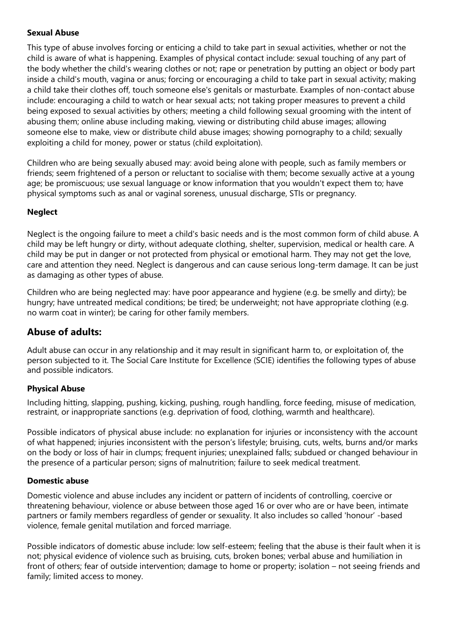### **Sexual Abuse**

This type of abuse involves forcing or enticing a child to take part in sexual activities, whether or not the child is aware of what is happening. Examples of physical contact include: sexual touching of any part of the body whether the child's wearing clothes or not; rape or penetration by putting an object or body part inside a child's mouth, vagina or anus; forcing or encouraging a child to take part in sexual activity; making a child take their clothes off, touch someone else's genitals or masturbate. Examples of non-contact abuse include: encouraging a child to watch or hear sexual acts; not taking proper measures to prevent a child being exposed to sexual activities by others; meeting a child following sexual grooming with the intent of abusing them; online abuse including making, viewing or distributing child abuse images; allowing someone else to make, view or distribute child abuse images; showing pornography to a child; sexually exploiting a child for money, power or status (child exploitation).

Children who are being sexually abused may: avoid being alone with people, such as family members or friends; seem frightened of a person or reluctant to socialise with them; become sexually active at a young age; be promiscuous; use sexual language or know information that you wouldn't expect them to; have physical symptoms such as anal or vaginal soreness, unusual discharge, STIs or pregnancy.

### **Neglect**

Neglect is the ongoing failure to meet a child's basic needs and is the most common form of child abuse. A child may be left hungry or dirty, without adequate clothing, shelter, supervision, medical or health care. A child may be put in danger or not protected from physical or emotional harm. They may not get the love, care and attention they need. Neglect is dangerous and can cause serious long-term damage. It can be just as damaging as other types of abuse.

Children who are being neglected may: have poor appearance and hygiene (e.g. be smelly and dirty); be hungry; have untreated medical conditions; be tired; be underweight; not have appropriate clothing (e.g. no warm coat in winter); be caring for other family members.

### **Abuse of adults:**

Adult abuse can occur in any relationship and it may result in significant harm to, or exploitation of, the person subjected to it. The Social Care Institute for Excellence (SCIE) identifies the following types of abuse and possible indicators.

### **Physical Abuse**

Including hitting, slapping, pushing, kicking, pushing, rough handling, force feeding, misuse of medication, restraint, or inappropriate sanctions (e.g. deprivation of food, clothing, warmth and healthcare).

Possible indicators of physical abuse include: no explanation for injuries or inconsistency with the account of what happened; injuries inconsistent with the person's lifestyle; bruising, cuts, welts, burns and/or marks on the body or loss of hair in clumps; frequent injuries; unexplained falls; subdued or changed behaviour in the presence of a particular person; signs of malnutrition; failure to seek medical treatment.

### **Domestic abuse**

Domestic violence and abuse includes any incident or pattern of incidents of controlling, coercive or threatening behaviour, violence or abuse between those aged 16 or over who are or have been, intimate partners or family members regardless of gender or sexuality. It also includes so called 'honour' -based violence, female genital mutilation and forced marriage.

Possible indicators of domestic abuse include: low self-esteem; feeling that the abuse is their fault when it is not; physical evidence of violence such as bruising, cuts, broken bones; verbal abuse and humiliation in front of others; fear of outside intervention; damage to home or property; isolation – not seeing friends and family; limited access to money.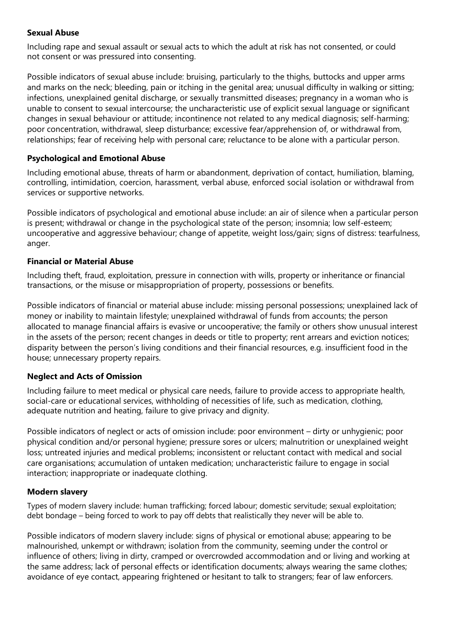#### **Sexual Abuse**

Including rape and sexual assault or sexual acts to which the adult at risk has not consented, or could not consent or was pressured into consenting.

Possible indicators of sexual abuse include: bruising, particularly to the thighs, buttocks and upper arms and marks on the neck; bleeding, pain or itching in the genital area; unusual difficulty in walking or sitting; infections, unexplained genital discharge, or sexually transmitted diseases; pregnancy in a woman who is unable to consent to sexual intercourse; the uncharacteristic use of explicit sexual language or significant changes in sexual behaviour or attitude; incontinence not related to any medical diagnosis; self-harming; poor concentration, withdrawal, sleep disturbance; excessive fear/apprehension of, or withdrawal from, relationships; fear of receiving help with personal care; reluctance to be alone with a particular person.

#### **Psychological and Emotional Abuse**

Including emotional abuse, threats of harm or abandonment, deprivation of contact, humiliation, blaming, controlling, intimidation, coercion, harassment, verbal abuse, enforced social isolation or withdrawal from services or supportive networks.

Possible indicators of psychological and emotional abuse include: an air of silence when a particular person is present; withdrawal or change in the psychological state of the person; insomnia; low self-esteem; uncooperative and aggressive behaviour; change of appetite, weight loss/gain; signs of distress: tearfulness, anger.

#### **Financial or Material Abuse**

Including theft, fraud, exploitation, pressure in connection with wills, property or inheritance or financial transactions, or the misuse or misappropriation of property, possessions or benefits.

Possible indicators of financial or material abuse include: missing personal possessions; unexplained lack of money or inability to maintain lifestyle; unexplained withdrawal of funds from accounts; the person allocated to manage financial affairs is evasive or uncooperative; the family or others show unusual interest in the assets of the person; recent changes in deeds or title to property; rent arrears and eviction notices; disparity between the person's living conditions and their financial resources, e.g. insufficient food in the house; unnecessary property repairs.

### **Neglect and Acts of Omission**

Including failure to meet medical or physical care needs, failure to provide access to appropriate health, social-care or educational services, withholding of necessities of life, such as medication, clothing, adequate nutrition and heating, failure to give privacy and dignity.

Possible indicators of neglect or acts of omission include: poor environment – dirty or unhygienic; poor physical condition and/or personal hygiene; pressure sores or ulcers; malnutrition or unexplained weight loss; untreated injuries and medical problems; inconsistent or reluctant contact with medical and social care organisations; accumulation of untaken medication; uncharacteristic failure to engage in social interaction; inappropriate or inadequate clothing.

#### **Modern slavery**

Types of modern slavery include: human trafficking; forced labour; domestic servitude; sexual exploitation; debt bondage – being forced to work to pay off debts that realistically they never will be able to.

Possible indicators of modern slavery include: signs of physical or emotional abuse; appearing to be malnourished, unkempt or withdrawn; isolation from the community, seeming under the control or influence of others; living in dirty, cramped or overcrowded accommodation and or living and working at the same address; lack of personal effects or identification documents; always wearing the same clothes; avoidance of eye contact, appearing frightened or hesitant to talk to strangers; fear of law enforcers.